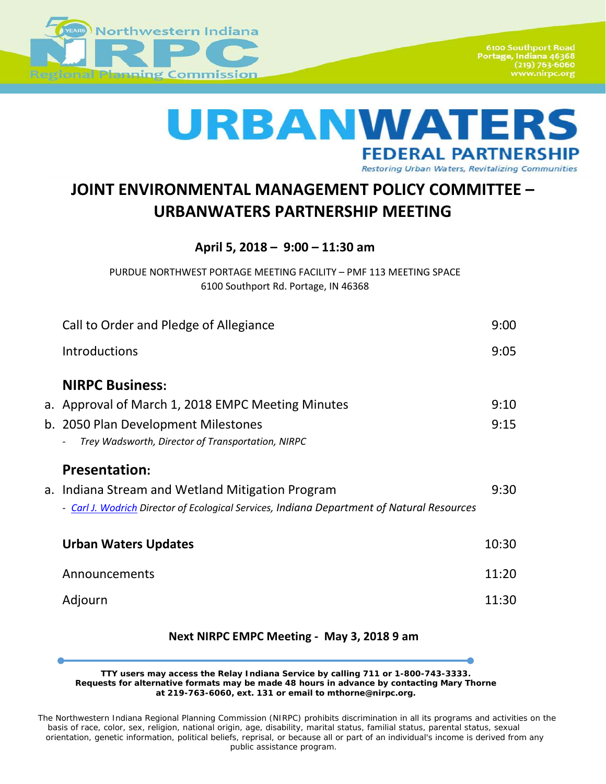

**6100 Southport Road** Portage, Indiana 46368<br>219) 763-6060 www.nirpc.org

# URBANWATE **FEDERAL PARTNERSHIP**

Restoring Urban Waters, Revitalizing Communities

# **JOINT ENVIRONMENTAL MANAGEMENT POLICY COMMITTEE – URBANWATERS PARTNERSHIP MEETING**

**April 5, 2018 – 9:00 – 11:30 am**

PURDUE NORTHWEST PORTAGE MEETING FACILITY – PMF 113 MEETING SPACE 6100 Southport Rd. Portage, IN 46368

| Call to Order and Pledge of Allegiance                                                     | 9:00  |
|--------------------------------------------------------------------------------------------|-------|
| <b>Introductions</b>                                                                       | 9:05  |
| <b>NIRPC Business:</b>                                                                     |       |
| a. Approval of March 1, 2018 EMPC Meeting Minutes                                          | 9:10  |
| b. 2050 Plan Development Milestones                                                        | 9:15  |
| Trey Wadsworth, Director of Transportation, NIRPC                                          |       |
| <b>Presentation:</b>                                                                       |       |
| a. Indiana Stream and Wetland Mitigation Program                                           | 9:30  |
| - Carl J. Wodrich Director of Ecological Services, Indiana Department of Natural Resources |       |
| <b>Urban Waters Updates</b>                                                                | 10:30 |
|                                                                                            |       |
| Announcements                                                                              | 11:20 |
| Adjourn                                                                                    | 11:30 |
|                                                                                            |       |

## **Next NIRPC EMPC Meeting - May 3, 2018 9 am**

**TTY users may access the Relay Indiana Service by calling 711 or 1-800-743-3333. Requests for alternative formats may be made 48 hours in advance by contacting Mary Thorne at 219-763-6060, ext. 131 or email to mthorne@nirpc.org.**

*The Northwestern Indiana Regional Planning Commission (NIRPC) prohibits discrimination in all its programs and activities on the basis of race, color, sex, religion, national origin, age, disability, marital status, familial status, parental status, sexual orientation, genetic information, political beliefs, reprisal, or because all or part of an individual's income is derived from any public assistance program.*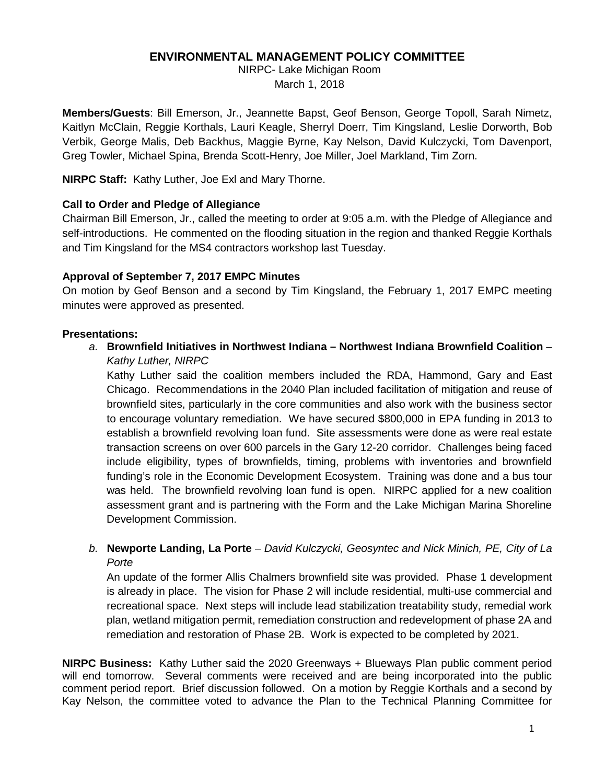### **ENVIRONMENTAL MANAGEMENT POLICY COMMITTEE**

NIRPC- Lake Michigan Room March 1, 2018

**Members/Guests**: Bill Emerson, Jr., Jeannette Bapst, Geof Benson, George Topoll, Sarah Nimetz, Kaitlyn McClain, Reggie Korthals, Lauri Keagle, Sherryl Doerr, Tim Kingsland, Leslie Dorworth, Bob Verbik, George Malis, Deb Backhus, Maggie Byrne, Kay Nelson, David Kulczycki, Tom Davenport, Greg Towler, Michael Spina, Brenda Scott-Henry, Joe Miller, Joel Markland, Tim Zorn.

**NIRPC Staff:** Kathy Luther, Joe Exl and Mary Thorne.

#### **Call to Order and Pledge of Allegiance**

Chairman Bill Emerson, Jr., called the meeting to order at 9:05 a.m. with the Pledge of Allegiance and self-introductions. He commented on the flooding situation in the region and thanked Reggie Korthals and Tim Kingsland for the MS4 contractors workshop last Tuesday.

#### **Approval of September 7, 2017 EMPC Minutes**

On motion by Geof Benson and a second by Tim Kingsland, the February 1, 2017 EMPC meeting minutes were approved as presented.

#### **Presentations:**

*a.* **Brownfield Initiatives in Northwest Indiana – Northwest Indiana Brownfield Coalition** – *Kathy Luther, NIRPC*

Kathy Luther said the coalition members included the RDA, Hammond, Gary and East Chicago. Recommendations in the 2040 Plan included facilitation of mitigation and reuse of brownfield sites, particularly in the core communities and also work with the business sector to encourage voluntary remediation. We have secured \$800,000 in EPA funding in 2013 to establish a brownfield revolving loan fund. Site assessments were done as were real estate transaction screens on over 600 parcels in the Gary 12-20 corridor. Challenges being faced include eligibility, types of brownfields, timing, problems with inventories and brownfield funding's role in the Economic Development Ecosystem. Training was done and a bus tour was held. The brownfield revolving loan fund is open. NIRPC applied for a new coalition assessment grant and is partnering with the Form and the Lake Michigan Marina Shoreline Development Commission.

*b.* **Newporte Landing, La Porte** – *David Kulczycki, Geosyntec and Nick Minich, PE, City of La Porte*

An update of the former Allis Chalmers brownfield site was provided. Phase 1 development is already in place. The vision for Phase 2 will include residential, multi-use commercial and recreational space. Next steps will include lead stabilization treatability study, remedial work plan, wetland mitigation permit, remediation construction and redevelopment of phase 2A and remediation and restoration of Phase 2B. Work is expected to be completed by 2021.

**NIRPC Business:** Kathy Luther said the 2020 Greenways + Blueways Plan public comment period will end tomorrow. Several comments were received and are being incorporated into the public comment period report. Brief discussion followed. On a motion by Reggie Korthals and a second by Kay Nelson, the committee voted to advance the Plan to the Technical Planning Committee for